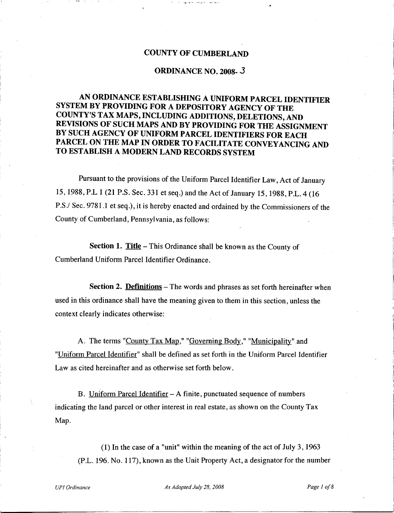### **COUNTY OF CUMBERLAND**

#### **ORDINANCE NO. 2008-** J

..

# **AN ORDINANCE ESTABLISHING A UNIFORM PARCEL IDENTIFIER SYSTEM BY PROVIDING FOR A DEPOSITORY AGENCY OF THE COUNTY'S TAX MAPS, INCLUDING ADDITIONS, DELETIONS, AND REVISIONS OF SUCH MAPS AND BY PROVIDING FOR THE ASSIGNMENT BY SUCH AGENCY OF UNIFORM PARCEL IDENTIFIERS FOR EACH PARCEL ON THE MAP IN ORDER TO FACILITATE CONVEYANCING AND TO ESTABLISH A MODERN LAND RECORDS SYSTEM**

Pursuant to the provisions of the Uniform Parcel Identifier Law, Act of January 15, 1988, P.L 1 (21 P.S. Sec. 331 et seq.) and the Act of January 15, 1988, P.L. 4 (16 P.S./ Sec. 9781.1 et seq.), it is hereby enacted and ordained by the Commissioners of the County of Cumberland, Pennsylvania, as follows:

**Section 1. Title** -This Ordinance shall be known as the County of Cumberland Uniform Parcel Identifier Ordinance.

**Section 2. Definitions** – The words and phrases as set forth hereinafter when used in this ordinance shall have the meaning given to them in this section, unless the context clearly indicates otherwise:

A. The terms "County Tax Map." "Governing Body," "Municipality" and "Uniform Parcel Identifier" shall be defined as set forth in the Uniform Parcel Identifier Law as cited hereinafter and as otherwise set forth below.

B. Uniform Parcel Identifier  $- A$  finite, punctuated sequence of numbers indicating the land parcel or other interest in real estate, as shown on the County Tax Map.

(1) In the case of a "unit" within the meaning of the act of July 3, 1963 (P.L. 196. No. 117), known as the Unit Property Act, a designator for the number

*UPI Ordinance As Adopted July 28, 2008 Page 1 o/8*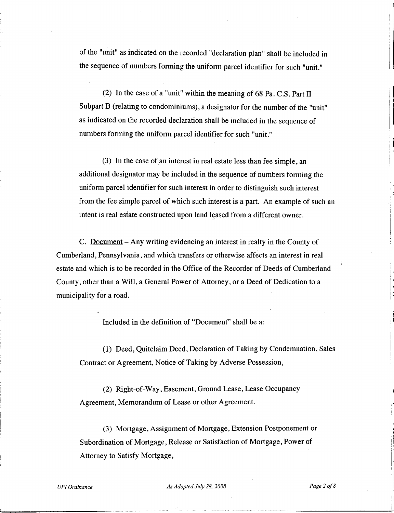of the "unit" as indicated on the recorded "declaration plan" shall be included in the sequence of numbers forming the uniform parcel identifier for such "unit."

(2) In the case of a "unit" within the meaning of 68 Pa. C.S. Part II Subpart B (relating to condominiums), a designator for the number of the "unit" as indicated on the recorded declaration shall be included in the sequence of numbers forming the uniform parcel identifier for such "unit."

(3) In the case of an interest in real estate less than fee simple, an additional designator may be included in the sequence of numbers forming the uniform parcel identifier for such interest in order to distinguish such interest from the fee simple parcel of which such interest is a part. An example of such an intent is real estate constructed upon land leased from a different owner.

C. Document - Any writing evidencing an interest in realty in the County of Cumberland, Pennsylvania, and which transfers or otherwise affects an interest in real estate and which is to be recorded in the Office of the Recorder of Deeds of Cumberland County, other than a Will, a General Power of Attorney, or a Deed of Dedication to a municipality for a road.

Included in the definition of "Document" shall be a:

(1) Deed, Quitclaim Deed, Declaration of Taking by Condemnation, Sales Contract or Agreement, Notice of Taking by Adverse Possession,

(2) Right-of-Way, Easement, Ground Lease, Lease Occupancy Agreement, Memorandum of Lease or other Agreement,

(3) Mortgage, Assignment of Mortgage, Extension Postponement or Subordination of Mortgage, Release or Satisfaction of Mortgage, Power of Attorney to Satisfy Mortgage,

*UPI Ordinance As Adopted July 28, 2008 Page 2 o/8*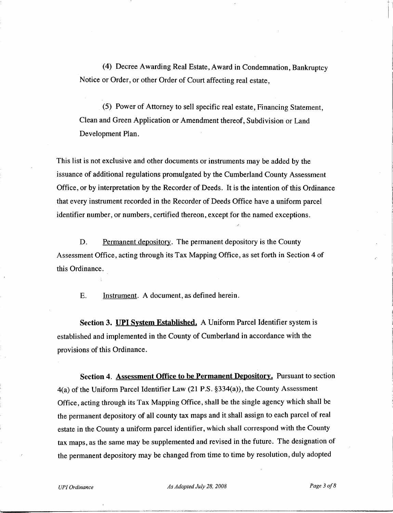(4) Decree Awarding Real Estate, Award in Condemnation, Bankruptcy Notice or Order, or other Order of Court affecting real estate,

(5) Power of Attorney to sell specific real estate, Financing Statement, Clean and Green Application or Amendment thereof, Subdivision or Land Development Plan.

This list is not exclusive and other documents or instruments may be added by the issuance of additional regulations promulgated by the Cumberland County Assessment Office, or by interpretation by the Recorder of Deeds. It is the intention of this Ordinance that every instrument recorded in the Recorder of Deeds Office have a uniform parcel identifier number, or numbers, certified thereon, except for the named exceptions.

D. Permanent depository. The permanent depository is the County Assessment Office, acting through its Tax Mapping Office, as set forth in Section 4 of this Ordinance.

E. Instrument. A document, as defined herein.

**Section 3. UPI System Established.** A Uniform Parcel Identifier system is established and implemented in the County of Cumberland in accordance with the provisions of this Ordinance.

**Section 4. Assessment Office to be Permanent Depository.** Pursuant to section 4(a) of the Uniform Parcel Identifier Law (21 P.S. §334(a)), the County Assessment Office, acting through its Tax Mapping Office, shall be the single agency which shall be the permanent depository of all county tax maps and it shall assign to each parcel of real estate in the County a uniform parcel identifier, which shall correspond with the County tax maps, as the same may be supplemented and revised in the future. The designation of the permanent depository may be changed from time to time by resolution, duly adopted

I I.

I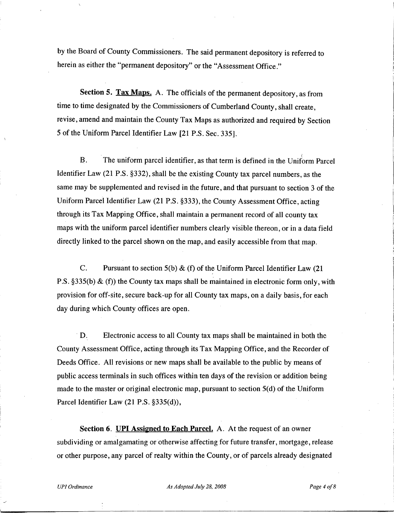by the Board of County Commissioners. The said permanent depository is referred to herein as either the "permanent depository" or the "Assessment Office."

**Section S. Tax Maps.** A. The officials of the permanent depository, as from time to time designated by the Commissioners of Cumberland County, shall create, revise, amend and maintain the County Tax Maps as authorized and required by Section 5 of the Uniform Parcel Identifier Law [21 P.S. Sec. 335].

B. The uniform parcel identifier, as that term is defined in the Uniform Parcel Identifier Law (21 P.S. §332), shall be the existing County tax parcel numbers, as the same may be supplemented and revised in the future, and that pursuant to section 3 of the Uniform Parcel Identifier Law (21 P.S. §333), the County Assessment Office, acting through its Tax Mapping Office, shall maintain a permanent record of all county tax maps with the uniform parcel identifier numbers clearly visible thereon, or in a data field directly linked to the parcel shown on the map, and easily accessible from that map.

C. Pursuant to section  $5(b) \& (f)$  of the Uniform Parcel Identifier Law (21) P.S. §335(b)  $\&$  (f)) the County tax maps shall be maintained in electronic form only, with provision for off-site, secure back-up for all County tax maps, on a daily basis, for each day during which County offices are open.

D. Electronic access to all County tax maps shall be maintained in both the County Assessment Office, acting through its Tax Mapping Office, and the Recorder of Deeds Office. All revisions or new maps shall be available to the public by means of public access terminals in such offices within ten days of the revision or addition being made to the master or original electronic map, pursuant to section 5(d) of the Uniform Parcel Identifier Law (21 P.S. §335(d)),

**Section 6. UPI Assigned to Each Parcel.** A. At the request of an owner subdividing or amalgamating or otherwise affecting for future transfer, mortgage, release or other purpose, any parcel of realty within the County, or of parcels already designated

*UPI Ordinance As Adopted July 28, 2008 Page 4 o/8*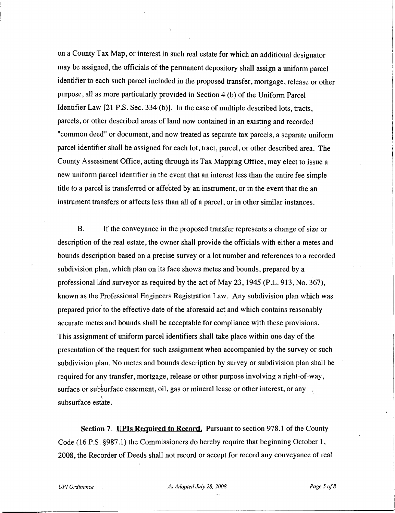on a County Tax Map, or interest in such real estate for which an additional designator may be assigned, the officials of the permanent depository shall assign a uniform parcel identifier to each such parcel included in the proposed transfer, mortgage, release or other purpose, all as more particularly provided in Section 4 (b) of the Uniform Parcel Identifier Law [21 P.S. Sec. 334 (b)]. In the case of multiple described lots, tracts, parcels, or other described areas of land now contained in an existing and recorded "common deed" or document, and now treated as separate tax parcels, a separate uniform parcel identifier shall be assigned for each lot, tract, parcel, or other described area. The County Assessment Office, acting through its Tax Mapping Office, may elect to issue a new uniform parcel identifier in the event that an interest less than the entire fee simple title to a parcel is transferred or affected by an instrument, or in the event that the an instrument transfers or affects less than all of a parcel, or in other similar instances.

B. If the conveyance in the proposed transfer represents a change of size or description of the real estate, the owner shall provide the officials with either a metes and bounds description based on a precise survey or a lot number and references to a recorded subdivision plan, which plan on its face shows metes and bounds, prepared by a professional land surveyor as required by the act of May 23, 1945 (P.L. 913, No. 367), known as the Professional Engineers Registration Law. Any subdivision plan which was prepared prior to the effective date of the aforesaid act and which contains reasonably accurate metes and bounds shall be acceptable for compliance with these provisions. This assignment of uniform parcel identifiers shall take place within one day of the presentation of the request for such assignment when accompanied by the survey or such subdivision plan. No metes and bounds description by survey or subdivision plan shall be required for any transfer, mortgage, release or other purpose involving a right-of-way, surface or subsurface easement, oil, gas or mineral lease or other interest, or any subsurface estate.

**Section 7. UPls Required to Record.** Pursuant to section 978.1 of the County Code (16 P.S. §987.1) the Commissioners do hereby require that beginning October 1, 2008, the Recorder of Deeds shall not record or accept for record any conveyance of real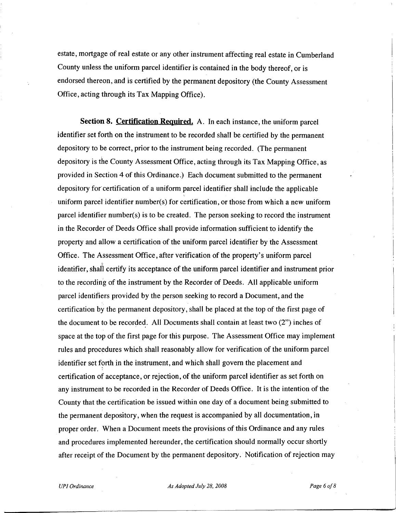estate, mortgage of real estate or any other instrument affecting real estate in Cumberland County unless the uniform parcel identifier is contained in the body thereof, or is endorsed thereon, and is certified by the permanent depository (the County Assessment Office, acting through its Tax Mapping Office).

**Section 8. Certification Required.** A. In each instance, the uniform parcel identifier set forth on the instrument to be recorded shall be certified by the permanent depository to be correct, prior to the instrument being recorded. (The permanent depository is the County Assessment Office, acting through its Tax Mapping Office, as provided in Section 4 of this Ordinance.) Each document submitted to the permanent depository fot certification of a uniform parcel identifier shall include the applicable uniform parcel identifier number(s) for certification, or those from which a new uniform parcel identifier number(s) is to be created. The person seeking to record the instrument in the Recorder of Deeds Office shall provide information sufficient to identify the property and allow a certification of the uniform parcel identifier by the Assessment Office. The Assessment Office, after verification of the property's uniform parcel j identifier, shall certify its acceptance of the uniform parcel identifier and instrument prior to the recording of the instrument by the Recorder of Deeds. All applicable uniform parcel identifiers provided by the person seeking to record a Document, and the certification by the permanent depository, shall be placed at the top of the first page of the document to be recorded. All Documents shall contain at least two  $(2")$  inches of space at the top of the first page for this purpose. The Assessment Office may implement rules and procedures which shall reasonably allow for verification of the uniform parcel identifier set forth in the instrument, and which shall govern the placement and certification of acceptance, or rejection, of the uniform parcel identifier as set forth on any instrument to be recorded in the Recorder of Deeds Office. It is the intention of the County that the certification be issued within one day of a document being submitted to the permanent depository, when the request is accompanied by all documentation, in proper order. When a Document meets the provisions of this Ordinance and any rules and procedures implemented hereunder, the certification should normally occur shortly after receipt of the Document by the permanent depository. Notification of rejection may

*UPI Ordinance As Adopted July 28, 2008 Page 6 o/8*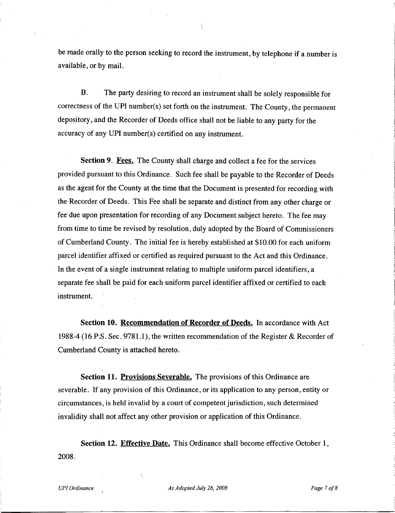be made orally to the person seeking to record the instrument, by telephone if a number is available, or by mail.

 $\mathcal{L}$ 

B. The party desiring to record an instrument shall be solely responsible for correctness of the UPI number( $s$ ) set forth on the instrument. The County, the permanent depository, and the Recorder of Deeds office shall not be liable to any party for the accuracy of any UPI number(s) certified on any instrument.

**Section 9. Fees.** The County shall charge and collect a fee for the services provided pursuant to this Ordinance. Such fee shall be payable to the Recorder of Deeds as the agent for the County at the time that the Document is presented for recording with the Recorder of Deeds. This Fee shall be separate and distinct from any other charge or fee due upon presentation for recording of any Document subject hereto. The fee may from time to time be revised by resolution, duly adopted by the Board of Commissioners of Cumberland County. The initial fee is hereby established at \$10.00 for each uniform parcel identifier affixed or certified as required pursuant to the Act and this Ordinance. In the event of a single instrument relating to multiple uniform parcel identifiers, a separate fee shall be paid for each uniform parcel identifier affixed or certified to each instrument.

**Section 10. Recommendation of Recorder of Deeds.** In accordance with Act 1988-4 (16 P.S. Sec. 9781.1), the written recommendation of the Register & Recorder of Cumberland County is attached hereto.

**Section 11. Provisions Severable.** The provisions of this Ordinance are severable. If any provision of this Ordinance, or its application to any person, entity or circumstances, is held invalid by a court of competent jurisdiction, such determined invalidity shall not affect any other provision or application of this Ordinance.

**Section 12. Effective Date.** This Ordinance shall become effective October 1, 2008.

*UPI Ordinance As Adopted July 28, 2008 Page* 7*o/8*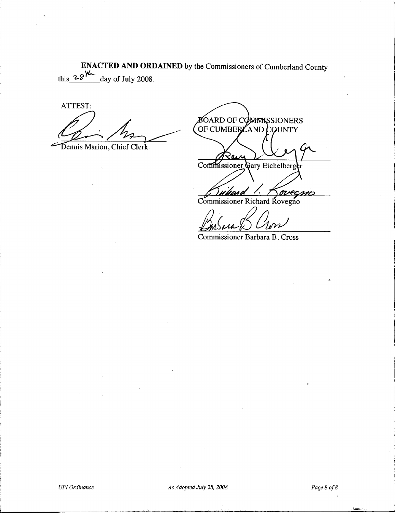**ENACTED AND ORDAINED** by the Commissioners of Cumberland County this  $28\frac{4}{-}$  day of July 2008.

ATTEST:

Dennis Marion, Chief Clerk

**BOARD OF COMMISSIONERS** OF CUMBER AND COUNTY Commissioner Gary Eichelberger ove

Commissioner Richard Rovegno<br>
Commissioner Barbara B. Cross

Commissioner Barbara B. Cross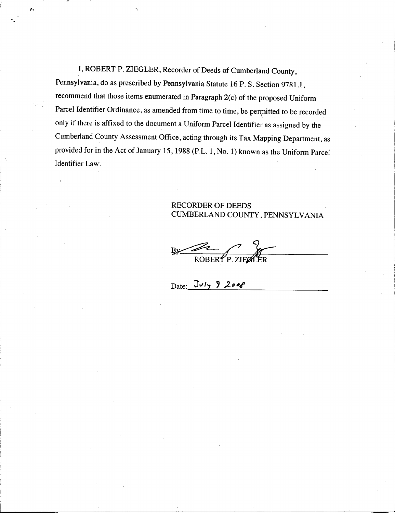I, ROBERT P. ZIEGLER, Recorder of Deeds of Cumberland County, Pennsylvania, do as prescribed by Pennsylvania Statute 16 P. S. Section 9781.1, recommend that those items enumerated in Paragraph 2(c) of the proposed Uniform Parcel Identifier Ordinance, as amended from time to time, be permitted to be recorded \ only if there is affixed to the document a Uniform Parcel Identifier as assigned by the Cumberland County Assessment Office, acting through its Tax Mapping Department, as provided for in the Act of January 15, 1988 (P.L. 1, No. 1) known as the Uniform Parcel Identifier Law.

·.

ÿ,

## RECORDER OF DEEDS CUMBERLAND COUNTY, PENNSYLVANIA

ROBERT P. ZIELLER  $B<sub>2</sub>$ 

Date:  $Jvly$  9 2008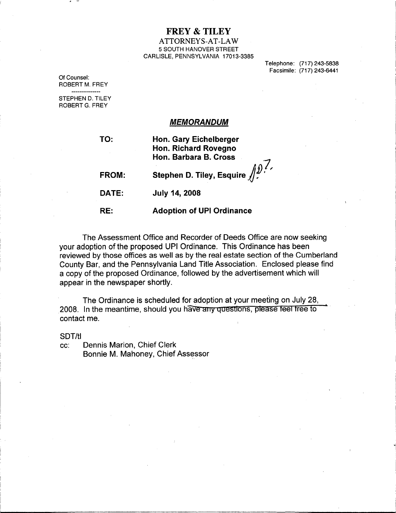# **FREY & TILEY**

#### ATTORNEYS-AT-LAW 5 SOUTH HANOVER STREET CARLISLE, PENNSYLVANIA 17013-3385

Telephone: (717) 243-5838 Facsimile: (717) 243-6441

..!

Of Counsel: ROBERT M. FREY ---------------

STEPHEN D. TILEY ROBERT G. FREY

## *MEMORANDUM*

| TO:          | <b>Hon. Gary Eichelberger</b><br>Hon. Richard Rovegno<br>Hon. Barbara B. Cross |
|--------------|--------------------------------------------------------------------------------|
| <b>FROM:</b> | Stephen D. Tiley, Esquire $\iiint_{\mathcal{L}} \mathcal{D} \mathcal{L}$       |
| DATE:        | <b>July 14, 2008</b>                                                           |
| RE:          | <b>Adoption of UPI Ordinance</b>                                               |

The Assessment Office and Recorder of Deeds Office are now seeking your adoption of the proposed UPI Ordinance. This Ordinance has been reviewed by those offices as well as by the real estate section of the Cumberland County Bar, and the Pennsylvania Land Title Association. Enclosed please find a copy of the proposed Ordinance, followed by the advertisement which will appear in the newspaper shortly.

The Ordinance is scheduled for adoption at your meeting on July 28, .2008. In the meantime, should you have any questions, please feel tree to contact me.

SOT/ti

cc: Dennis Marion, Chief Clerk Bonnie M. Mahoney, Chief Assessor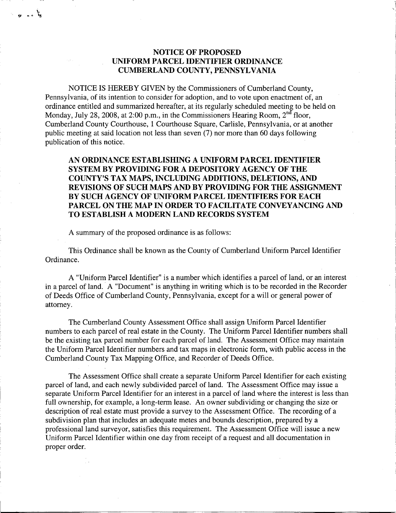## **NOTICE OF PROPOSED UNIFORM PARCEL IDENTIFIER ORDINANCE CUMBERLAND COUNTY, PENNSYLVANIA**

NOTICE IS HEREBY GIVEN by the Commissioners of Cumberland County, Pennsylvania, of its intention to consider for adoption, and to vote upon enactment of, an ordinance entitled and summarized hereafter, at its regularly scheduled meeting to be held on Monday, July 28, 2008, at 2:00 p.m., in the Commissioners Hearing Room,  $2<sup>nd</sup>$  floor, Cumberland County Courthouse, 1 Courthouse Square, Carlisle, Pennsylvania, or at another public meeting at said location not less than seven (7) nor more than 60 days following publication of this notice.

**AN ORDINANCE ESTABLISHING A UNIFORM PARCEL IDENTIFIER SYSTEM BY PROVIDING FOR A DEPOSITORY AGENCY OF THE COUNTY'S TAX MAPS, INCLUDING ADDITIONS, DELETIONS, AND REVISIONS OF SUCH MAPS AND BY PROVIDING FOR THE ASSIGNMENT BY SUCH AGENCY OF UNIFORM PARCEL IDENTIFIERS FOR EACH PARCEL ON THE MAP IN ORDER TO FACILITATE CONVEYANCING AND TO ESTABLISH A MODERN LAND RECORDS SYSTEM** 

A summary of the proposed ordinance is as follows:

یا مہ ہو

This Ordinance shall be known as the County of Cumberland Uniform Parcel Identifier Ordinance.

A "Uniform Parcel Identifier" is a number which identifies a parcel of land, or an interest in a parcel of land. A "Document" is anything in writing which is to be recorded in the Recorder of Deeds Office of Cumberland County, Pennsylvania, except for a will or general power of attorney.

The Cumberland County Assessment Office shall assign Uniform Parcel Identifier numbers to each parcel of real estate in the County. The Uniform Parcel Identifier numbers shall be the existing tax parcel number for each parcel of land. The Assessment Office may maintain the Uniform Parcel Identifier numbers and tax maps in electronic form, with public access in the Cumberland County Tax Mapping Office, and Recorder of Deeds Office.

The Assessment Office shall create a separate Uniform Parcel Identifier for each existing parcel of land, and each newly subdivided parcel of land. The Assessment Office may issue a separate Uniform Parcel Identifier for an interest in a parcel of land where the interest is less than full ownership, for example, a long-term lease. An owner subdividing or changing the size or description of real estate must provide a survey to the Assessment Office. The recording of a subdivision plan that includes an adequate metes and bounds description, prepared by a professional land surveyor, satisfies this requirement. The Assessment Office will issue a new Uniform Parcel Identifier within one day from receipt of a request and all documentation in proper order.